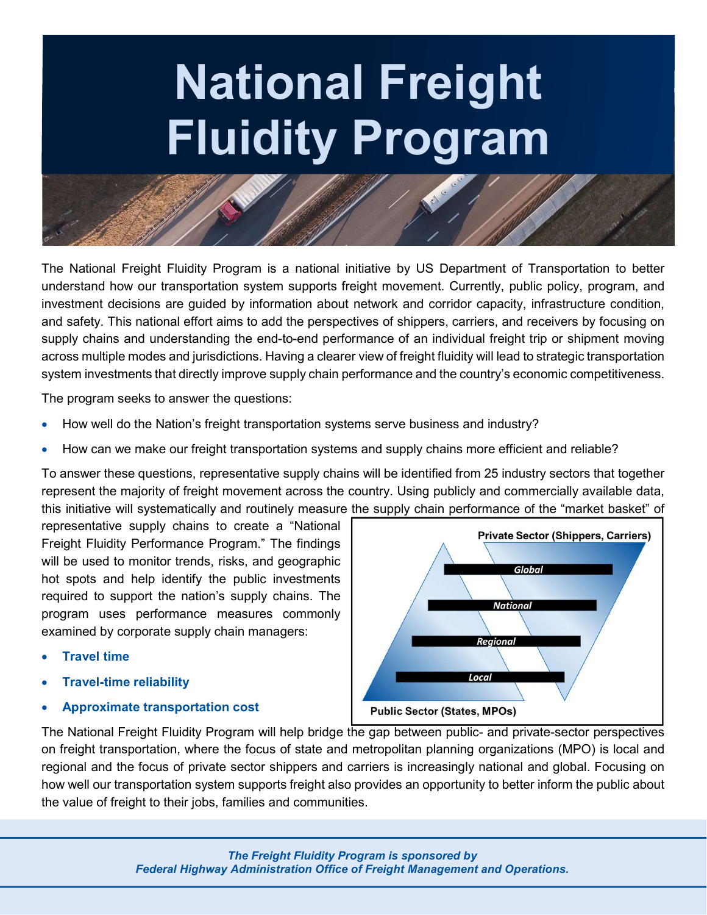## National Freight Fluidity Program

The National Freight Fluidity Program is a national initiative by US Department of Transportation to better understand how our transportation system supports freight movement. Currently, public policy, program, and investment decisions are guided by information about network and corridor capacity, infrastructure condition, and safety. This national effort aims to add the perspectives of shippers, carriers, and receivers by focusing on supply chains and understanding the end-to-end performance of an individual freight trip or shipment moving across multiple modes and jurisdictions. Having a clearer view of freight fluidity will lead to strategic transportation system investments that directly improve supply chain performance and the country's economic competitiveness.

The program seeks to answer the questions:

- How well do the Nation's freight transportation systems serve business and industry?
- How can we make our freight transportation systems and supply chains more efficient and reliable?

To answer these questions, representative supply chains will be identified from 25 industry sectors that together represent the majority of freight movement across the country. Using publicly and commercially available data, this initiative will systematically and routinely measure the supply chain performance of the "market basket" of

representative supply chains to create a "National Freight Fluidity Performance Program." The findings will be used to monitor trends, risks, and geographic hot spots and help identify the public investments required to support the nation's supply chains. The program uses performance measures commonly examined by corporate supply chain managers:

- Travel time
- Travel-time reliability
- Approximate transportation cost



The National Freight Fluidity Program will help bridge the gap between public- and private-sector perspectives on freight transportation, where the focus of state and metropolitan planning organizations (MPO) is local and regional and the focus of private sector shippers and carriers is increasingly national and global. Focusing on how well our transportation system supports freight also provides an opportunity to better inform the public about the value of freight to their jobs, families and communities.